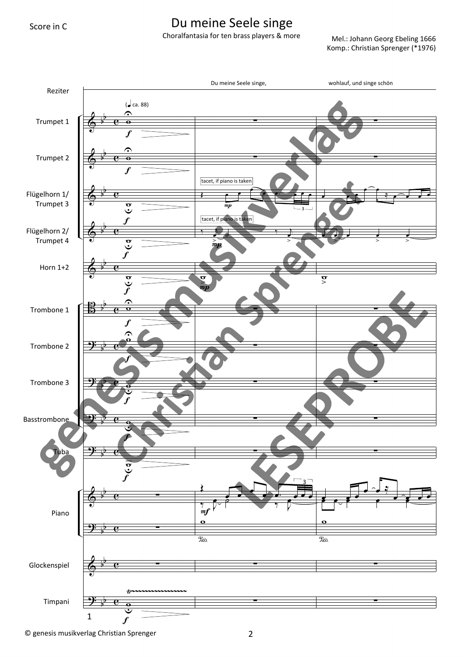## Du meine Seele singe

Choralfantasia for ten brass players & more

Mel.: Johann Georg Ebeling 1666 Komp.: Christian Sprenger (\*1976)



© genesis musikverlag Christian Sprenger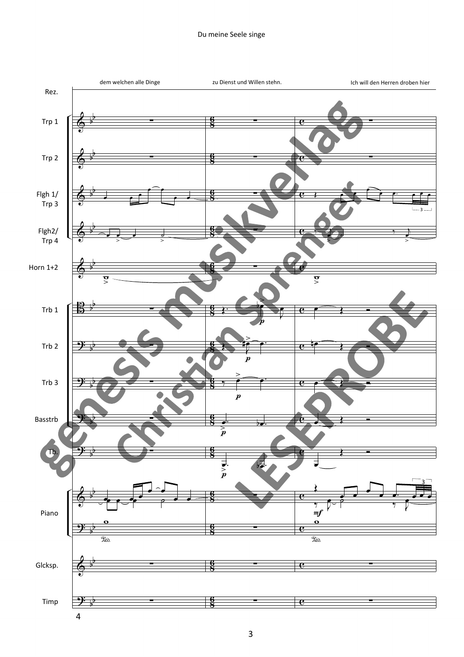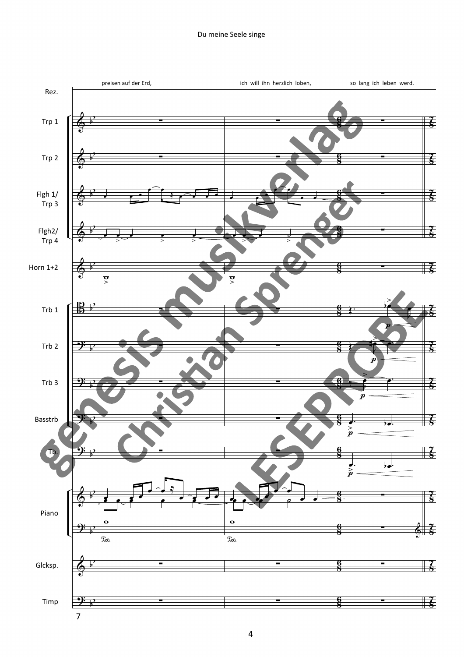## Du meine Seele singe